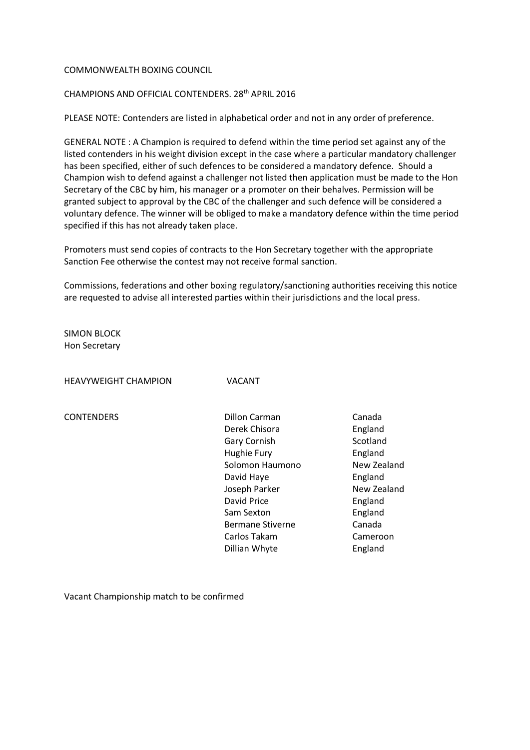## COMMONWEALTH BOXING COUNCIL

## CHAMPIONS AND OFFICIAL CONTENDERS. 28th APRIL 2016

PLEASE NOTE: Contenders are listed in alphabetical order and not in any order of preference.

GENERAL NOTE : A Champion is required to defend within the time period set against any of the listed contenders in his weight division except in the case where a particular mandatory challenger has been specified, either of such defences to be considered a mandatory defence. Should a Champion wish to defend against a challenger not listed then application must be made to the Hon Secretary of the CBC by him, his manager or a promoter on their behalves. Permission will be granted subject to approval by the CBC of the challenger and such defence will be considered a voluntary defence. The winner will be obliged to make a mandatory defence within the time period specified if this has not already taken place.

Promoters must send copies of contracts to the Hon Secretary together with the appropriate Sanction Fee otherwise the contest may not receive formal sanction.

Commissions, federations and other boxing regulatory/sanctioning authorities receiving this notice are requested to advise all interested parties within their jurisdictions and the local press.

SIMON BLOCK Hon Secretary

HEAVYWEIGHT CHAMPION VACANT

CONTENDERS Dillon Carman Canada Derek Chisora **England** Gary Cornish Scotland Hughie Fury **England** Solomon Haumono New Zealand David Haye **England** Joseph Parker New Zealand David Price **England** Sam Sexton England Bermane Stiverne **Canada**  Carlos Takam Cameroon Dillian Whyte England

Vacant Championship match to be confirmed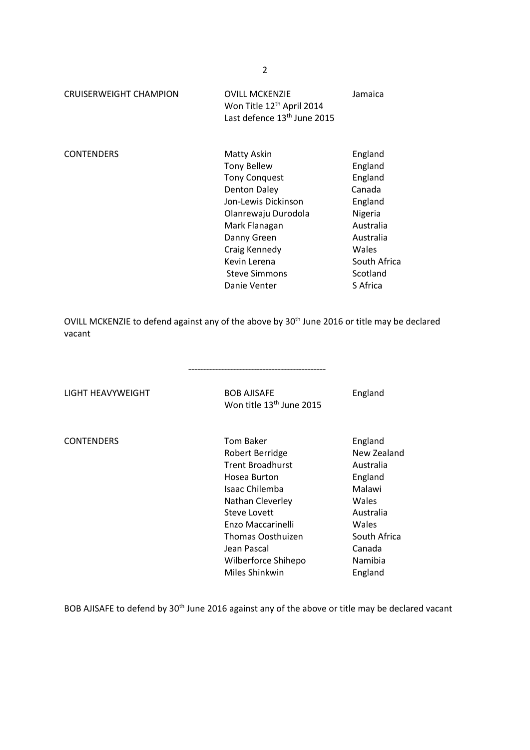| <b>CRUISERWEIGHT CHAMPION</b> | <b>OVILL MCKENZIE</b><br>Won Title 12 <sup>th</sup> April 2014<br>Last defence 13 <sup>th</sup> June 2015                                                                                                                        | Jamaica                                                                                                                                  |
|-------------------------------|----------------------------------------------------------------------------------------------------------------------------------------------------------------------------------------------------------------------------------|------------------------------------------------------------------------------------------------------------------------------------------|
| <b>CONTENDERS</b>             | Matty Askin<br><b>Tony Bellew</b><br><b>Tony Conquest</b><br>Denton Daley<br>Jon-Lewis Dickinson<br>Olanrewaju Durodola<br>Mark Flanagan<br>Danny Green<br>Craig Kennedy<br>Kevin Lerena<br><b>Steve Simmons</b><br>Danie Venter | England<br>England<br>England<br>Canada<br>England<br>Nigeria<br>Australia<br>Australia<br>Wales<br>South Africa<br>Scotland<br>S Africa |

OVILL MCKENZIE to defend against any of the above by 30<sup>th</sup> June 2016 or title may be declared vacant

LIGHT HEAVYWEIGHT **BOB AJISAFE** England

Won title 13<sup>th</sup> June 2015

| <b>CONTENDERS</b> | <b>Tom Baker</b>        | England      |
|-------------------|-------------------------|--------------|
|                   | Robert Berridge         | New Zealand  |
|                   | <b>Trent Broadhurst</b> | Australia    |
|                   | Hosea Burton            | England      |
|                   | Isaac Chilemba          | Malawi       |
|                   | Nathan Cleverley        | Wales        |
|                   | Steve Lovett            | Australia    |
|                   | Enzo Maccarinelli       | Wales        |
|                   | Thomas Oosthuizen       | South Africa |
|                   | Jean Pascal             | Canada       |
|                   | Wilberforce Shihepo     | Namibia      |
|                   | Miles Shinkwin          | England      |
|                   |                         |              |

BOB AJISAFE to defend by 30<sup>th</sup> June 2016 against any of the above or title may be declared vacant

2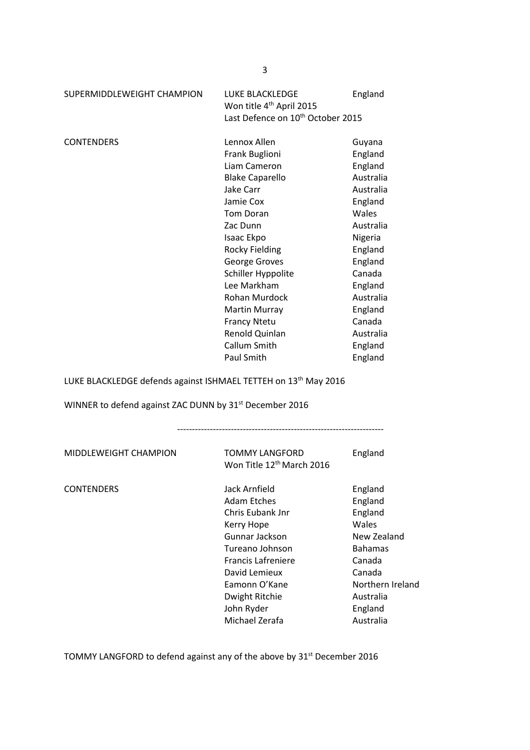| SUPERMIDDLEWEIGHT CHAMPION                                              | LUKE BLACKLEDGE<br>Won title 4 <sup>th</sup> April 2015 | England   |
|-------------------------------------------------------------------------|---------------------------------------------------------|-----------|
|                                                                         | Last Defence on 10 <sup>th</sup> October 2015           |           |
| <b>CONTENDERS</b>                                                       | Lennox Allen                                            | Guyana    |
|                                                                         | Frank Buglioni                                          | England   |
|                                                                         | Liam Cameron                                            | England   |
|                                                                         | <b>Blake Caparello</b>                                  | Australia |
|                                                                         | Jake Carr                                               | Australia |
|                                                                         | Jamie Cox                                               | England   |
|                                                                         | <b>Tom Doran</b>                                        | Wales     |
|                                                                         | Zac Dunn                                                | Australia |
|                                                                         | Isaac Ekpo                                              | Nigeria   |
|                                                                         | <b>Rocky Fielding</b>                                   | England   |
|                                                                         | George Groves                                           | England   |
|                                                                         | Schiller Hyppolite                                      | Canada    |
|                                                                         | Lee Markham                                             | England   |
|                                                                         | Rohan Murdock                                           | Australia |
|                                                                         | Martin Murray                                           | England   |
|                                                                         | <b>Francy Ntetu</b>                                     | Canada    |
|                                                                         | Renold Quinlan                                          | Australia |
|                                                                         | Callum Smith                                            | England   |
|                                                                         | Paul Smith                                              | England   |
| <b>ILIKE BLACKLEDGE defends against ISHMAEL TETTEH on 13th May 2016</b> |                                                         |           |

LUKE BLACKLEDGE defends against ISHMAEL TETTEH on 13th May 2016

WINNER to defend against ZAC DUNN by 31<sup>st</sup> December 2016

---------------------------------------------------------------------

|                   | Won Title 12 <sup>th</sup> March 2016                                                                                                                                                                                | England                                                                                                                                              |
|-------------------|----------------------------------------------------------------------------------------------------------------------------------------------------------------------------------------------------------------------|------------------------------------------------------------------------------------------------------------------------------------------------------|
| <b>CONTENDERS</b> | Jack Arnfield<br>Adam Etches<br>Chris Eubank Jnr<br>Kerry Hope<br>Gunnar Jackson<br>Tureano Johnson<br><b>Francis Lafreniere</b><br>David Lemieux<br>Eamonn O'Kane<br>Dwight Ritchie<br>John Ryder<br>Michael Zerafa | England<br>England<br>England<br>Wales<br>New Zealand<br><b>Bahamas</b><br>Canada<br>Canada<br>Northern Ireland<br>Australia<br>England<br>Australia |

TOMMY LANGFORD to defend against any of the above by 31<sup>st</sup> December 2016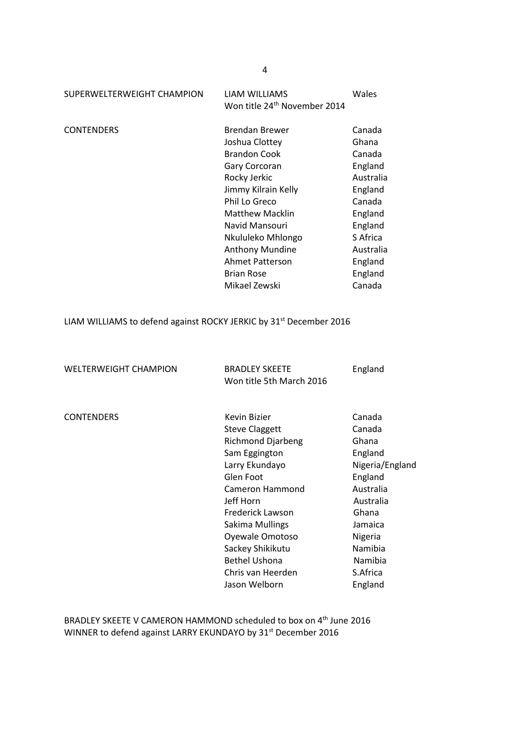| SUPERWELTERWEIGHT CHAMPION | LIAM WILLIAMS<br>Won title 24 <sup>th</sup> November 2014                                                                                                                                                                                                                            | Wales                                                                                                                                                 |
|----------------------------|--------------------------------------------------------------------------------------------------------------------------------------------------------------------------------------------------------------------------------------------------------------------------------------|-------------------------------------------------------------------------------------------------------------------------------------------------------|
| <b>CONTENDERS</b>          | Brendan Brewer<br>Joshua Clottey<br><b>Brandon Cook</b><br>Gary Corcoran<br>Rocky Jerkic<br>Jimmy Kilrain Kelly<br>Phil Lo Greco<br><b>Matthew Macklin</b><br>Navid Mansouri<br>Nkululeko Mhlongo<br>Anthony Mundine<br><b>Ahmet Patterson</b><br><b>Brian Rose</b><br>Mikael Zewski | Canada<br>Ghana<br>Canada<br>England<br>Australia<br>England<br>Canada<br>England<br>England<br>S Africa<br>Australia<br>England<br>England<br>Canada |
|                            |                                                                                                                                                                                                                                                                                      |                                                                                                                                                       |

LIAM WILLIAMS to defend against ROCKY JERKIC by 31<sup>st</sup> December 2016

WELTERWEIGHT CHAMPION BRADLEY SKEETE England Won title 5th March 2016

| <b>CONTENDERS</b> | Kevin Bizier             | Canada          |
|-------------------|--------------------------|-----------------|
|                   | <b>Steve Claggett</b>    | Canada          |
|                   | <b>Richmond Djarbeng</b> | Ghana           |
|                   | Sam Eggington            | England         |
|                   | Larry Ekundayo           | Nigeria/England |
|                   | Glen Foot                | England         |
|                   | Cameron Hammond          | Australia       |
|                   | Jeff Horn                | Australia       |
|                   | Frederick Lawson         | Ghana           |
|                   | Sakima Mullings          | Jamaica         |
|                   | Oyewale Omotoso          | Nigeria         |
|                   | Sackey Shikikutu         | Namibia         |
|                   | <b>Bethel Ushona</b>     | Namibia         |
|                   | Chris van Heerden        | S.Africa        |
|                   | Jason Welborn            | England         |

BRADLEY SKEETE V CAMERON HAMMOND scheduled to box on 4<sup>th</sup> June 2016 WINNER to defend against LARRY EKUNDAYO by 31<sup>st</sup> December 2016

4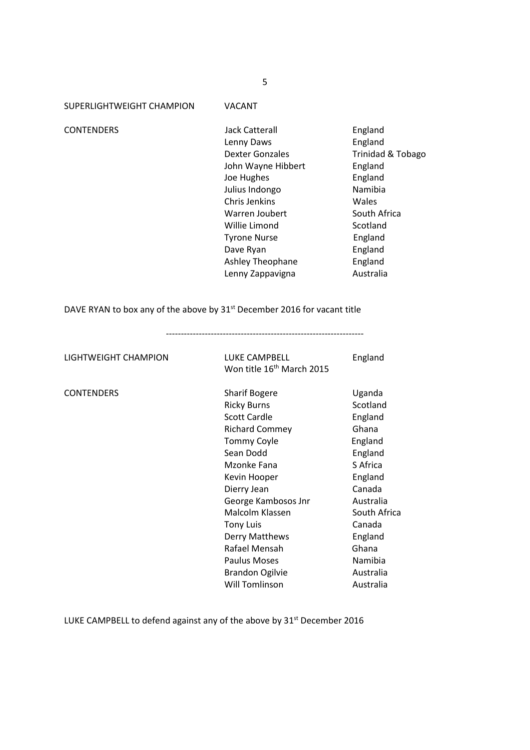SUPERLIGHTWEIGHT CHAMPION VACANT

CONTENDERS Jack Catterall England Lenny Daws **England** Dexter Gonzales Trinidad & Tobago John Wayne Hibbert England Joe Hughes **England** Julius Indongo Namibia Chris Jenkins Wales Warren Joubert South Africa Willie Limond Scotland Tyrone Nurse **England** Dave Ryan **England** Ashley Theophane England

Lenny Zappavigna **Australia** 

DAVE RYAN to box any of the above by 31<sup>st</sup> December 2016 for vacant title

LIGHTWEIGHT CHAMPION LUKE CAMPBELL England Won title 16<sup>th</sup> March 2015 CONTENDERS Sharif Bogere Uganda Ricky Burns Scotland Scott Cardle **England** Richard Commey Ghana Tommy Coyle **England** Sean Dodd England Mzonke Fana Safrica Kevin Hooper **England** Dierry Jean Canada George Kambosos Jnr Australia Malcolm Klassen South Africa Tony Luis Canada Derry Matthews England Rafael Mensah Ghana Paulus Moses Namibia Brandon Ogilvie **Australia** Will Tomlinson **Australia** 

LUKE CAMPBELL to defend against any of the above by 31<sup>st</sup> December 2016

------------------------------------------------------------------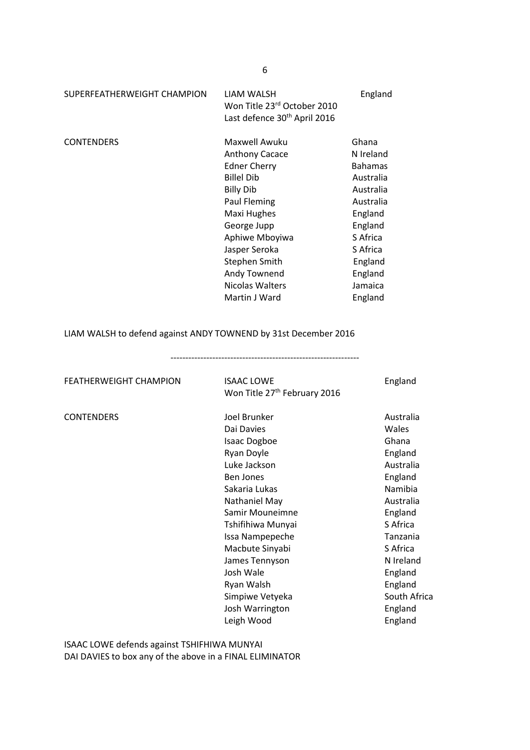| LIAM WALSH<br>Won Title 23rd October 2010<br>Last defence 30 <sup>th</sup> April 2016 | England                                      |
|---------------------------------------------------------------------------------------|----------------------------------------------|
| Maxwell Awuku                                                                         | Ghana                                        |
|                                                                                       | N Ireland                                    |
|                                                                                       | <b>Bahamas</b>                               |
| <b>Billel Dib</b>                                                                     | Australia                                    |
| <b>Billy Dib</b>                                                                      | Australia                                    |
| Paul Fleming                                                                          | Australia                                    |
| Maxi Hughes                                                                           | England                                      |
| George Jupp                                                                           | England                                      |
| Aphiwe Mboyiwa                                                                        | S Africa                                     |
| Jasper Seroka                                                                         | S Africa                                     |
| Stephen Smith                                                                         | England                                      |
| Andy Townend                                                                          | England                                      |
| Nicolas Walters                                                                       | Jamaica                                      |
| Martin J Ward                                                                         | England                                      |
|                                                                                       | <b>Anthony Cacace</b><br><b>Edner Cherry</b> |

LIAM WALSH to defend against ANDY TOWNEND by 31st December 2016

---------------------------------------------------------------

FEATHERWEIGHT CHAMPION ISAAC LOWE ISSUE England Won Title 27<sup>th</sup> February 2016

CONTENDERS Joel Brunker Australia Dai Davies Wales Isaac Dogboe Ghana Ryan Doyle **England** Luke Jackson **Australia** Ben Jones **England** Sakaria Lukas Namibia Nathaniel May **Australia** Samir Mouneimne **England** Tshifihiwa Munyai Safrica Issa Nampepeche Tanzania Macbute Sinyabi Safrica James Tennyson N Ireland Josh Wale England Ryan Walsh England Simpiwe Vetyeka South Africa Josh Warrington England Leigh Wood **England** 

ISAAC LOWE defends against TSHIFHIWA MUNYAI DAI DAVIES to box any of the above in a FINAL ELIMINATOR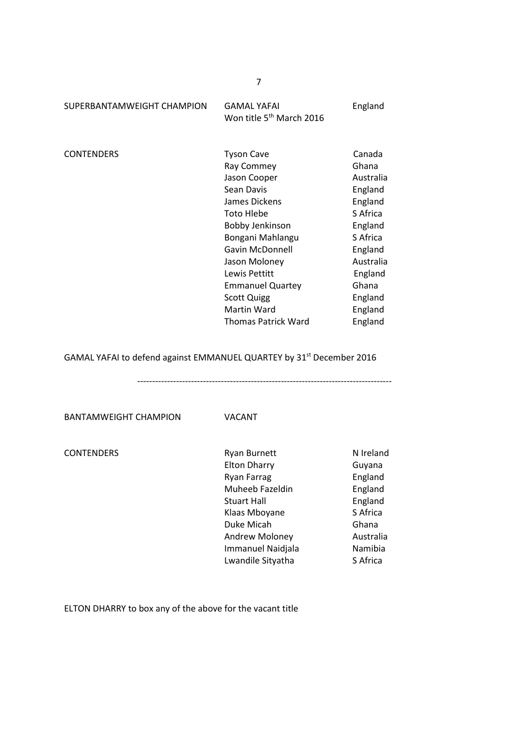| SUPERBANTAMWEIGHT CHAMPION | <b>GAMAL YAFAI</b><br>Won title 5 <sup>th</sup> March 2016                                                                                                                                                                                                                             | England                                                                                                                                                            |
|----------------------------|----------------------------------------------------------------------------------------------------------------------------------------------------------------------------------------------------------------------------------------------------------------------------------------|--------------------------------------------------------------------------------------------------------------------------------------------------------------------|
| <b>CONTENDERS</b>          | <b>Tyson Cave</b><br>Ray Commey<br>Jason Cooper<br>Sean Davis<br>James Dickens<br><b>Toto Hlebe</b><br>Bobby Jenkinson<br>Bongani Mahlangu<br>Gavin McDonnell<br>Jason Moloney<br>Lewis Pettitt<br><b>Emmanuel Quartey</b><br><b>Scott Quigg</b><br>Martin Ward<br>Thomas Patrick Ward | Canada<br>Ghana<br>Australia<br>England<br>England<br>S Africa<br>England<br>S Africa<br>England<br>Australia<br>England<br>Ghana<br>England<br>England<br>England |
|                            |                                                                                                                                                                                                                                                                                        |                                                                                                                                                                    |

GAMAL YAFAI to defend against EMMANUEL QUARTEY by 31<sup>st</sup> December 2016

-------------------------------------------------------------------------------------

BANTAMWEIGHT CHAMPION VACANT

| CONTENDERS |  |
|------------|--|
|------------|--|

| <b>CONTENDERS</b> | <b>Ryan Burnett</b>      | N Ireland |
|-------------------|--------------------------|-----------|
|                   | <b>Elton Dharry</b>      | Guyana    |
|                   | <b>Ryan Farrag</b>       | England   |
|                   | Muheeb Fazeldin          | England   |
|                   | <b>Stuart Hall</b>       | England   |
|                   | Klaas Mboyane            | S Africa  |
|                   | Duke Micah               | Ghana     |
|                   | Andrew Moloney           | Australia |
|                   | <b>Immanuel Naidjala</b> | Namibia   |
|                   | Lwandile Sityatha        | S Africa  |

ELTON DHARRY to box any of the above for the vacant title

7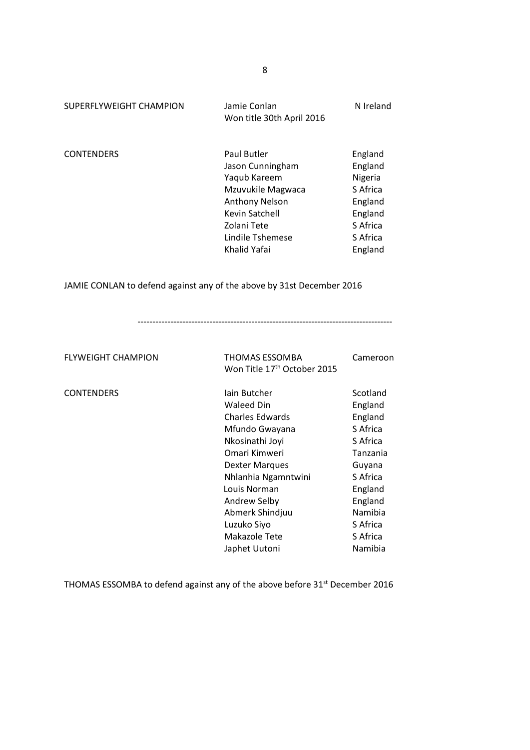| SUPERFLYWEIGHT CHAMPION | Jamie Conlan<br>Won title 30th April 2016                                                                                                                          | N Ireland                                                                                          |
|-------------------------|--------------------------------------------------------------------------------------------------------------------------------------------------------------------|----------------------------------------------------------------------------------------------------|
| <b>CONTENDERS</b>       | Paul Butler<br>Jason Cunningham<br>Yaqub Kareem<br>Mzuvukile Magwaca<br><b>Anthony Nelson</b><br>Kevin Satchell<br>Zolani Tete<br>Lindile Tshemese<br>Khalid Yafai | England<br>England<br>Nigeria<br>S Africa<br>England<br>England<br>S Africa<br>S Africa<br>England |
|                         |                                                                                                                                                                    |                                                                                                    |

JAMIE CONLAN to defend against any of the above by 31st December 2016

-------------------------------------------------------------------------------------

FLYWEIGHT CHAMPION THOMAS ESSOMBA Cameroon Won Title 17<sup>th</sup> October 2015

| <b>CONTENDERS</b> | lain Butcher           | Scotland |
|-------------------|------------------------|----------|
|                   | <b>Waleed Din</b>      | England  |
|                   | <b>Charles Edwards</b> | England  |
|                   | Mfundo Gwayana         | S Africa |
|                   | Nkosinathi Joyi        | S Africa |
|                   | Omari Kimweri          | Tanzania |
|                   | <b>Dexter Marques</b>  | Guyana   |
|                   | Nhlanhia Ngamntwini    | S Africa |
|                   | Louis Norman           | England  |
|                   | Andrew Selby           | England  |
|                   | Abmerk Shindjuu        | Namibia  |
|                   | Luzuko Siyo            | S Africa |
|                   | Makazole Tete          | S Africa |
|                   | Japhet Uutoni          | Namibia  |
|                   |                        |          |

THOMAS ESSOMBA to defend against any of the above before 31<sup>st</sup> December 2016